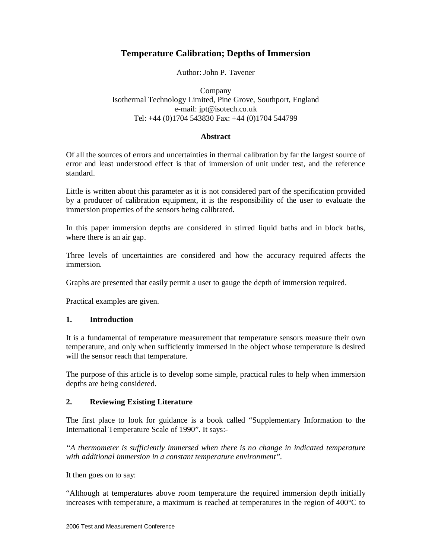# **Temperature Calibration; Depths of Immersion**

## Author: John P. Tavener

# Company Isothermal Technology Limited, Pine Grove, Southport, England e-mail: jpt@isotech.co.uk Tel: +44 (0)1704 543830 Fax: +44 (0)1704 544799

#### **Abstract**

Of all the sources of errors and uncertainties in thermal calibration by far the largest source of error and least understood effect is that of immersion of unit under test, and the reference standard.

Little is written about this parameter as it is not considered part of the specification provided by a producer of calibration equipment, it is the responsibility of the user to evaluate the immersion properties of the sensors being calibrated.

In this paper immersion depths are considered in stirred liquid baths and in block baths, where there is an air gap.

Three levels of uncertainties are considered and how the accuracy required affects the immersion.

Graphs are presented that easily permit a user to gauge the depth of immersion required.

Practical examples are given.

#### **1. Introduction**

It is a fundamental of temperature measurement that temperature sensors measure their own temperature, and only when sufficiently immersed in the object whose temperature is desired will the sensor reach that temperature.

The purpose of this article is to develop some simple, practical rules to help when immersion depths are being considered.

# **2. Reviewing Existing Literature**

The first place to look for guidance is a book called "Supplementary Information to the International Temperature Scale of 1990". It says:-

*"A thermometer is sufficiently immersed when there is no change in indicated temperature with additional immersion in a constant temperature environment".* 

It then goes on to say:

"Although at temperatures above room temperature the required immersion depth initially increases with temperature, a maximum is reached at temperatures in the region of  $400^{\circ}$ C to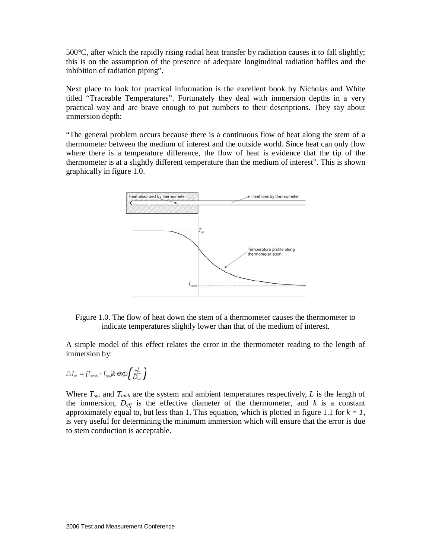$500^{\circ}$ C, after which the rapidly rising radial heat transfer by radiation causes it to fall slightly; this is on the assumption of the presence of adequate longitudinal radiation baffles and the inhibition of radiation piping".

Next place to look for practical information is the excellent book by Nicholas and White titled "Traceable Temperatures". Fortunately they deal with immersion depths in a very practical way and are brave enough to put numbers to their descriptions. They say about immersion depth:

"The general problem occurs because there is a continuous flow of heat along the stem of a thermometer between the medium of interest and the outside world. Since heat can only flow where there is a temperature difference, the flow of heat is evidence that the tip of the thermometer is at a slightly different temperature than the medium of interest". This is shown graphically in figure 1.0.



Figure 1.0. The flow of heat down the stem of a thermometer causes the thermometer to indicate temperatures slightly lower than that of the medium of interest.

A simple model of this effect relates the error in the thermometer reading to the length of immersion by:

$$
\triangle T_m = (T_{\text{omb}} - T_{\text{sys}})k \exp\left(\frac{-L}{D_{\text{eff}}}\right)
$$

Where  $T_{sys}$  and  $T_{amb}$  are the system and ambient temperatures respectively,  $L$  is the length of the immersion,  $D_{\text{eff}}$  is the effective diameter of the thermometer, and  $k$  is a constant approximately equal to, but less than 1. This equation, which is plotted in figure 1.1 for  $k = 1$ , is very useful for determining the minimum immersion which will ensure that the error is due to stem conduction is acceptable.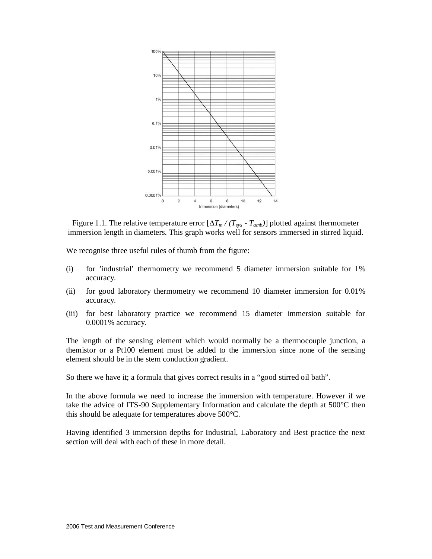

Figure 1.1. The relative temperature error  $[\Delta T_m / (T_{sys} - T_{amb})]$  plotted against thermometer immersion length in diameters. This graph works well for sensors immersed in stirred liquid.

We recognise three useful rules of thumb from the figure:

- (i) for 'industrial' thermometry we recommend 5 diameter immersion suitable for 1% accuracy.
- (ii) for good laboratory thermometry we recommend 10 diameter immersion for 0.01% accuracy.
- (iii) for best laboratory practice we recommend 15 diameter immersion suitable for 0.0001% accuracy.

The length of the sensing element which would normally be a thermocouple junction, a themistor or a Pt100 element must be added to the immersion since none of the sensing element should be in the stem conduction gradient.

So there we have it; a formula that gives correct results in a "good stirred oil bath".

In the above formula we need to increase the immersion with temperature. However if we take the advice of ITS-90 Supplementary Information and calculate the depth at 500°C then this should be adequate for temperatures above 500°C.

Having identified 3 immersion depths for Industrial, Laboratory and Best practice the next section will deal with each of these in more detail.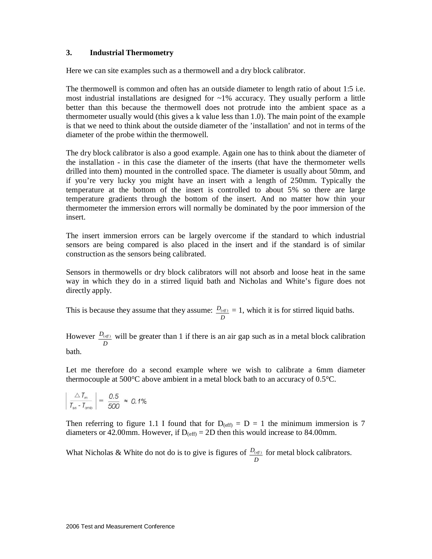## **3. Industrial Thermometry**

Here we can site examples such as a thermowell and a dry block calibrator.

The thermowell is common and often has an outside diameter to length ratio of about 1:5 i.e. most industrial installations are designed for  $~1\%$  accuracy. They usually perform a little better than this because the thermowell does not protrude into the ambient space as a thermometer usually would (this gives a k value less than 1.0). The main point of the example is that we need to think about the outside diameter of the 'installation' and not in terms of the diameter of the probe within the thermowell.

The dry block calibrator is also a good example. Again one has to think about the diameter of the installation - in this case the diameter of the inserts (that have the thermometer wells drilled into them) mounted in the controlled space. The diameter is usually about 50mm, and if you're very lucky you might have an insert with a length of 250mm. Typically the temperature at the bottom of the insert is controlled to about 5% so there are large temperature gradients through the bottom of the insert. And no matter how thin your thermometer the immersion errors will normally be dominated by the poor immersion of the insert.

The insert immersion errors can be largely overcome if the standard to which industrial sensors are being compared is also placed in the insert and if the standard is of similar construction as the sensors being calibrated.

Sensors in thermowells or dry block calibrators will not absorb and loose heat in the same way in which they do in a stirred liquid bath and Nicholas and White's figure does not directly apply.

This is because they assume that they assume: *D*  $D_{(eff)} = 1$ , which it is for stirred liquid baths.

However *D*  $D_{(eff)}$  will be greater than 1 if there is an air gap such as in a metal block calibration bath.

Let me therefore do a second example where we wish to calibrate a 6mm diameter thermocouple at 500°C above ambient in a metal block bath to an accuracy of 0.5°C.

$$
\left|\frac{\triangle T_m}{T_{\rm sys} - T_{\rm amb}}\right| = \frac{0.5}{500} \approx 0.1\%
$$

Then referring to figure 1.1 I found that for  $D_{(eff)} = D = 1$  the minimum immersion is 7 diameters or 42.00mm. However, if  $D_{\text{(eff)}} = 2D$  then this would increase to 84.00mm.

What Nicholas & White do not do is to give is figures of *D*  $D_{(eff)}$  for metal block calibrators.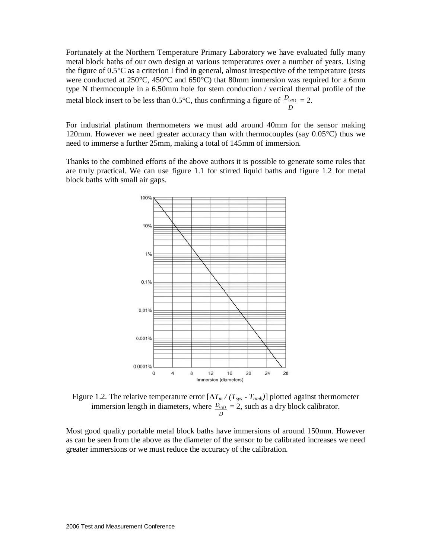Fortunately at the Northern Temperature Primary Laboratory we have evaluated fully many metal block baths of our own design at various temperatures over a number of years. Using the figure of 0.5°C as a criterion I find in general, almost irrespective of the temperature (tests were conducted at 250 $\degree$ C, 450 $\degree$ C and 650 $\degree$ C) that 80mm immersion was required for a 6mm type N thermocouple in a 6.50mm hole for stem conduction / vertical thermal profile of the metal block insert to be less than 0.5°C, thus confirming a figure of *D*  $\frac{D_{(eff)}}{D_{(eff)}} = 2.$ 

For industrial platinum thermometers we must add around 40mm for the sensor making 120mm. However we need greater accuracy than with thermocouples (say 0.05°C) thus we need to immerse a further 25mm, making a total of 145mm of immersion.

Thanks to the combined efforts of the above authors it is possible to generate some rules that are truly practical. We can use figure 1.1 for stirred liquid baths and figure 1.2 for metal block baths with small air gaps.



Figure 1.2. The relative temperature error  $[\Delta T_m / (T_{sys} - T_{amb})]$  plotted against thermometer immersion length in diameters, where *D*  $D_{(eff)} = 2$ , such as a dry block calibrator.

Most good quality portable metal block baths have immersions of around 150mm. However as can be seen from the above as the diameter of the sensor to be calibrated increases we need greater immersions or we must reduce the accuracy of the calibration.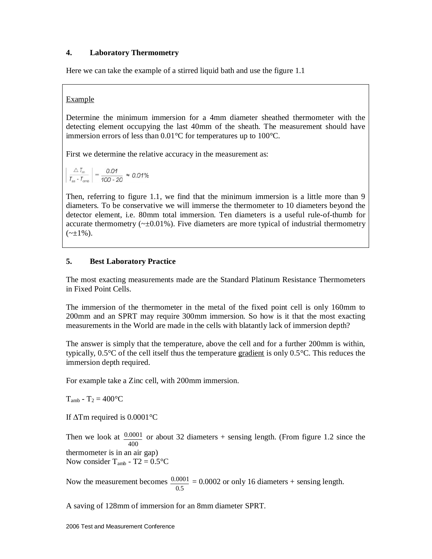# **4. Laboratory Thermometry**

Here we can take the example of a stirred liquid bath and use the figure 1.1

## Example

Determine the minimum immersion for a 4mm diameter sheathed thermometer with the detecting element occupying the last 40mm of the sheath. The measurement should have immersion errors of less than 0.01°C for temperatures up to 100°C.

First we determine the relative accuracy in the measurement as:

$$
\left| \frac{\triangle T_m}{T_{\text{sys}} - T_{\text{cmb}}} \right| = \frac{0.01}{100 - 20} \approx 0.01\%
$$

Then, referring to figure 1.1, we find that the minimum immersion is a little more than 9 diameters. To be conservative we will immerse the thermometer to 10 diameters beyond the detector element, i.e. 80mm total immersion. Ten diameters is a useful rule-of-thumb for accurate thermometry ( $\sim \pm 0.01\%$ ). Five diameters are more typical of industrial thermometry  $(\sim \pm 1\%)$ .

# **5. Best Laboratory Practice**

The most exacting measurements made are the Standard Platinum Resistance Thermometers in Fixed Point Cells.

The immersion of the thermometer in the metal of the fixed point cell is only 160mm to 200mm and an SPRT may require 300mm immersion. So how is it that the most exacting measurements in the World are made in the cells with blatantly lack of immersion depth?

The answer is simply that the temperature, above the cell and for a further 200mm is within, typically,  $0.5^{\circ}$ C of the cell itself thus the temperature gradient is only  $0.5^{\circ}$ C. This reduces the immersion depth required.

For example take a Zinc cell, with 200mm immersion.

 $T<sub>amb</sub> - T<sub>2</sub> = 400°C$ 

If ∆Tm required is 0.0001°C

Then we look at 400  $\frac{0.0001}{2}$  or about 32 diameters + sensing length. (From figure 1.2 since the thermometer is in an air gap) Now consider  $T_{amb}$  - T2 = 0.5 $\degree$ C

Now the measurement becomes  $0.5$  $\frac{0.0001}{1}$  = 0.0002 or only 16 diameters + sensing length.

A saving of 128mm of immersion for an 8mm diameter SPRT.